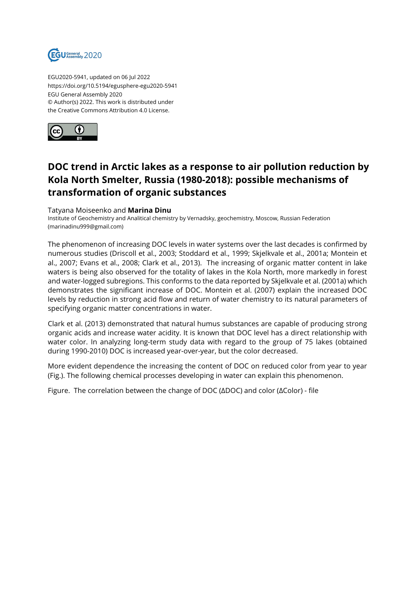

EGU2020-5941, updated on 06 Jul 2022 https://doi.org/10.5194/egusphere-egu2020-5941 EGU General Assembly 2020 © Author(s) 2022. This work is distributed under the Creative Commons Attribution 4.0 License.



## **DOC trend in Arctic lakes as a response to air pollution reduction by Kola North Smelter, Russia (1980-2018): possible mechanisms of transformation of organic substances**

## Tatyana Moiseenko and **Marina Dinu**

Institute of Geochemistry and Analitical chemistry by Vernadsky, geochemistry, Moscow, Russian Federation (marinadinu999@gmail.com)

The phenomenon of increasing DOC levels in water systems over the last decades is confirmed by numerous studies (Driscoll et al., 2003; Stoddard et al., 1999; Skjelkvale et al., 2001a; Montein et al., 2007; Evans et al., 2008; Clark et al., 2013). The increasing of organic matter content in lake waters is being also observed for the totality of lakes in the Kola North, more markedly in forest and water-logged subregions. This conforms to the data reported by Skjelkvale et al. (2001a) which demonstrates the significant increase of DOC. Montein et al. (2007) explain the increased DOC levels by reduction in strong acid flow and return of water chemistry to its natural parameters of specifying organic matter concentrations in water.

Clark et al. (2013) demonstrated that natural humus substances are capable of producing strong organic acids and increase water acidity. It is known that DOC level has a direct relationship with water color. In analyzing long-term study data with regard to the group of 75 lakes (obtained during 1990-2010) DOC is increased year-over-year, but the color decreased.

More evident dependence the increasing the content of DOC on reduced color from year to year (Fig.). The following chemical processes developing in water can explain this phenomenon.

Figure. The correlation between the change of DOC (ΔDOC) and color (ΔColor) - file